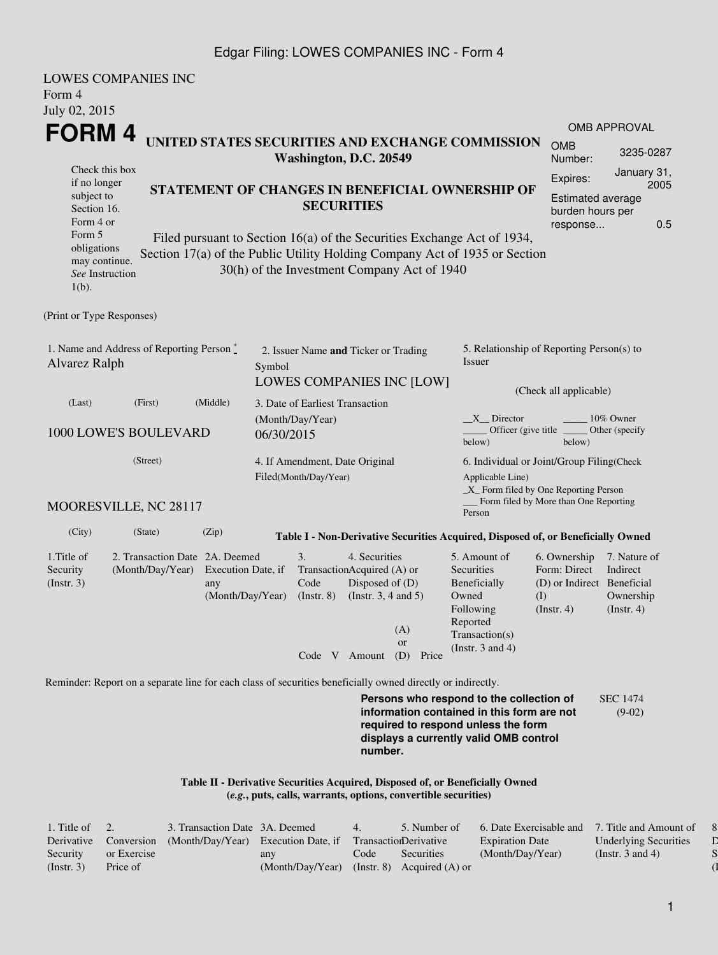#### Edgar Filing: LOWES COMPANIES INC - Form 4

| Form 4<br>July 02, 2015                                                                           | <b>LOWES COMPANIES INC</b>                                                                                  |                                                                                                                                                 |                                |                                      |                                                                                                                                                    |                                                                                         |                                                                                                                                                                         |                                                                                       |                                                                                        |  |  |  |
|---------------------------------------------------------------------------------------------------|-------------------------------------------------------------------------------------------------------------|-------------------------------------------------------------------------------------------------------------------------------------------------|--------------------------------|--------------------------------------|----------------------------------------------------------------------------------------------------------------------------------------------------|-----------------------------------------------------------------------------------------|-------------------------------------------------------------------------------------------------------------------------------------------------------------------------|---------------------------------------------------------------------------------------|----------------------------------------------------------------------------------------|--|--|--|
| FORM 4                                                                                            |                                                                                                             |                                                                                                                                                 |                                |                                      |                                                                                                                                                    |                                                                                         |                                                                                                                                                                         |                                                                                       | <b>OMB APPROVAL</b>                                                                    |  |  |  |
|                                                                                                   |                                                                                                             |                                                                                                                                                 |                                | Washington, D.C. 20549               |                                                                                                                                                    |                                                                                         | UNITED STATES SECURITIES AND EXCHANGE COMMISSION                                                                                                                        | <b>OMB</b><br>Number:                                                                 | 3235-0287                                                                              |  |  |  |
| Check this box<br>if no longer<br>subject to<br>Section 16.<br>Form 4 or<br>Form 5<br>obligations |                                                                                                             | STATEMENT OF CHANGES IN BENEFICIAL OWNERSHIP OF<br><b>SECURITIES</b><br>Filed pursuant to Section 16(a) of the Securities Exchange Act of 1934, |                                |                                      |                                                                                                                                                    |                                                                                         |                                                                                                                                                                         |                                                                                       | January 31,<br>2005<br><b>Estimated average</b><br>burden hours per<br>0.5<br>response |  |  |  |
| may continue.<br>See Instruction<br>$1(b)$ .                                                      |                                                                                                             |                                                                                                                                                 |                                |                                      |                                                                                                                                                    | 30(h) of the Investment Company Act of 1940                                             | Section 17(a) of the Public Utility Holding Company Act of 1935 or Section                                                                                              |                                                                                       |                                                                                        |  |  |  |
| (Print or Type Responses)                                                                         |                                                                                                             |                                                                                                                                                 |                                |                                      |                                                                                                                                                    |                                                                                         |                                                                                                                                                                         |                                                                                       |                                                                                        |  |  |  |
| 1. Name and Address of Reporting Person $\stackrel{*}{\mathbb{L}}$<br>Alvarez Ralph               |                                                                                                             |                                                                                                                                                 | Symbol                         | 2. Issuer Name and Ticker or Trading |                                                                                                                                                    | <b>LOWES COMPANIES INC [LOW]</b>                                                        | 5. Relationship of Reporting Person(s) to<br><b>Issuer</b>                                                                                                              |                                                                                       |                                                                                        |  |  |  |
| (Last)                                                                                            | (Middle)<br>(First)<br>3. Date of Earliest Transaction                                                      |                                                                                                                                                 |                                |                                      |                                                                                                                                                    |                                                                                         | (Check all applicable)                                                                                                                                                  |                                                                                       |                                                                                        |  |  |  |
| 1000 LOWE'S BOULEVARD                                                                             |                                                                                                             |                                                                                                                                                 | (Month/Day/Year)<br>06/30/2015 |                                      |                                                                                                                                                    | $X$ Director<br>10% Owner<br>Officer (give title)<br>Other (specify<br>below)<br>below) |                                                                                                                                                                         |                                                                                       |                                                                                        |  |  |  |
|                                                                                                   |                                                                                                             | 4. If Amendment, Date Original<br>Filed(Month/Day/Year)                                                                                         |                                |                                      | 6. Individual or Joint/Group Filing(Check<br>Applicable Line)<br>$\_X$ Form filed by One Reporting Person<br>Form filed by More than One Reporting |                                                                                         |                                                                                                                                                                         |                                                                                       |                                                                                        |  |  |  |
|                                                                                                   | MOORESVILLE, NC 28117                                                                                       |                                                                                                                                                 |                                |                                      |                                                                                                                                                    |                                                                                         | Person                                                                                                                                                                  |                                                                                       |                                                                                        |  |  |  |
| (City)                                                                                            | (State)                                                                                                     | (Zip)                                                                                                                                           |                                |                                      |                                                                                                                                                    |                                                                                         | Table I - Non-Derivative Securities Acquired, Disposed of, or Beneficially Owned                                                                                        |                                                                                       |                                                                                        |  |  |  |
| 1. Title of<br>Security<br>(Insert. 3)                                                            | 2. Transaction Date 2A. Deemed<br>(Month/Day/Year)                                                          | Execution Date, if<br>any<br>(Month/Day/Year)                                                                                                   |                                | 3.<br>Code<br>$($ Instr. $8)$        | 4. Securities<br>TransactionAcquired (A) or<br>Disposed of (D)<br>(Instr. $3, 4$ and $5$ )<br>Code V Amount                                        | (A)<br><b>or</b><br>(D) Price                                                           | 5. Amount of<br>Securities<br>Beneficially<br>Owned<br>Following<br>Reported<br>Transaction(s)<br>(Instr. $3$ and $4$ )                                                 | 6. Ownership<br>Form: Direct<br>(D) or Indirect Beneficial<br>(1)<br>$($ Instr. 4 $)$ | 7. Nature of<br>Indirect<br>Ownership<br>$($ Instr. 4 $)$                              |  |  |  |
|                                                                                                   | Reminder: Report on a separate line for each class of securities beneficially owned directly or indirectly. |                                                                                                                                                 |                                |                                      |                                                                                                                                                    |                                                                                         |                                                                                                                                                                         |                                                                                       |                                                                                        |  |  |  |
|                                                                                                   |                                                                                                             |                                                                                                                                                 |                                |                                      | number.                                                                                                                                            |                                                                                         | Persons who respond to the collection of<br>information contained in this form are not<br>required to respond unless the form<br>displays a currently valid OMB control |                                                                                       | <b>SEC 1474</b><br>$(9-02)$                                                            |  |  |  |
|                                                                                                   |                                                                                                             |                                                                                                                                                 |                                |                                      |                                                                                                                                                    | (e.g., puts, calls, warrants, options, convertible securities)                          | Table II - Derivative Securities Acquired, Disposed of, or Beneficially Owned                                                                                           |                                                                                       |                                                                                        |  |  |  |

| 1. Title of $\quad 2.$ |             | 3. Transaction Date 3A. Deemed      |                  | 4.   | 5. Number of                 | 6. Date Exercisable and 7. Title and Amount of |                              |
|------------------------|-------------|-------------------------------------|------------------|------|------------------------------|------------------------------------------------|------------------------------|
| Derivative             | Conversion  | (Month/Day/Year) Execution Date, if |                  |      | TransactionDerivative        | <b>Expiration Date</b>                         | <b>Underlying Securities</b> |
| Security               | or Exercise |                                     | any              | Code | <b>Securities</b>            | (Month/Day/Year)                               | (Instr. 3 and 4)             |
| (Insert. 3)            | Price of    |                                     | (Month/Day/Year) |      | (Instr. 8) Acquired $(A)$ or |                                                |                              |

1

8. Price of  $\mathbb D$  $\mathbf S$  $\overline{\mathbf 1}$